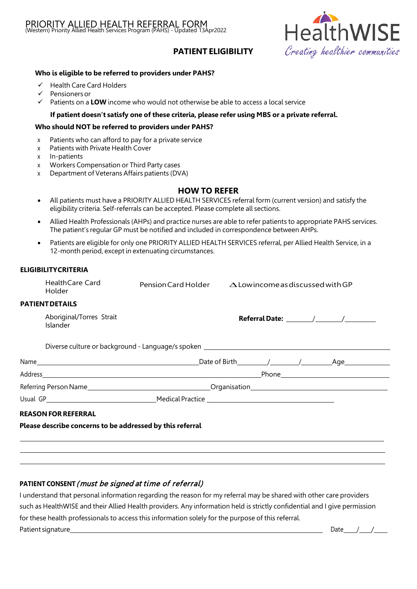

# **PATIENT ELIGIBILITY**

### **Who is eligible to be referred to providers under PAHS?**

- $\checkmark$  Health Care Card Holders
- $\checkmark$  Pensioners or
- $\checkmark$  Patients on a **LOW** income who would not otherwise be able to access a local service

### **If patient doesn't satisfy one of these criteria, please refer using MBS or a private referral.**

### **Who should NOT be referred to providers under PAHS?**

- x Patients who can afford to pay for a private service
- x Patients with Private Health Cover
- x In-patients
- x Workers Compensation or Third Party cases
- x Department of Veterans Affairs patients (DVA)

## **HOW TO REFER**

- All patients must have a PRIORITY ALLIED HEALTH SERVICES referral form (current version) and satisfy the eligibility criteria. Self-referrals can be accepted. Please complete all sections.
- Allied Health Professionals (AHPs) and practice nurses are able to refer patients to appropriate PAHS services. The patient's regular GP must be notified and included in correspondence between AHPs.
- Patients are eligible for only one PRIORITY ALLIED HEALTH SERVICES referral, per Allied Health Service, in a 12-month period, except in extenuating circumstances.

#### **ELIGIBILITYCRITERIA**

|                                                           | <b>HealthCare Card</b><br>Holder |  | Pension Card Holder $\triangle$ Low income as discussed with GP                  |  |  |  |  |  |
|-----------------------------------------------------------|----------------------------------|--|----------------------------------------------------------------------------------|--|--|--|--|--|
|                                                           | <b>PATIENT DETAILS</b>           |  |                                                                                  |  |  |  |  |  |
| Aboriginal/Torres Strait<br>Islander                      |                                  |  |                                                                                  |  |  |  |  |  |
|                                                           |                                  |  | Diverse culture or background - Language/s spoken ______________________________ |  |  |  |  |  |
|                                                           |                                  |  |                                                                                  |  |  |  |  |  |
|                                                           |                                  |  |                                                                                  |  |  |  |  |  |
|                                                           |                                  |  |                                                                                  |  |  |  |  |  |
|                                                           |                                  |  |                                                                                  |  |  |  |  |  |
|                                                           | <b>REASON FOR REFERRAL</b>       |  |                                                                                  |  |  |  |  |  |
| Please describe concerns to be addressed by this referral |                                  |  |                                                                                  |  |  |  |  |  |
|                                                           |                                  |  |                                                                                  |  |  |  |  |  |
|                                                           |                                  |  |                                                                                  |  |  |  |  |  |
|                                                           |                                  |  |                                                                                  |  |  |  |  |  |

## **PATIENT CONSENT**( must be signed at time of referral)

I understand that personal information regarding the reason for my referral may be shared with other care providers such as HealthWISE and their Allied Health providers. Any information held is strictly confidential and I give permission for these health professionals to access this information solely for the purpose of this referral. Patient signature Date / /